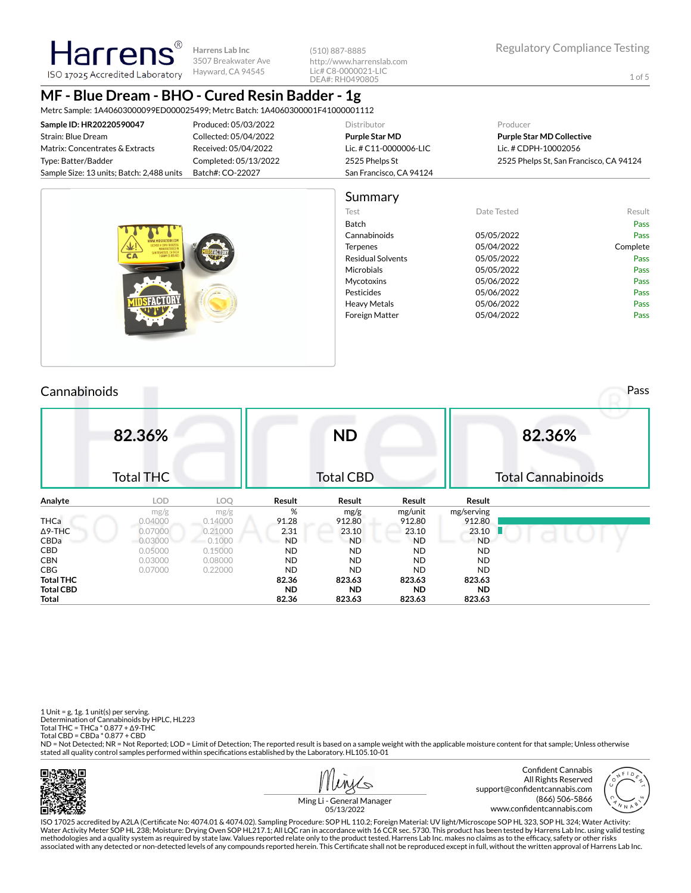**Harrens Lab Inc** 3507 Breakwater Ave Hayward, CA 94545

(510) 887-8885 http://www.harrenslab.com Lic# C8-0000021-LIC DEA#: RH0490805

# **MF - Blue Dream - BHO - Cured Resin Badder - 1g**

Metrc Sample: 1A40603000099ED000025499; Metrc Batch: 1A4060300001F41000001112

| Sample ID: HR20220590047                  | Produced: 05/03/2022  | Distributor             | Producer                                |
|-------------------------------------------|-----------------------|-------------------------|-----------------------------------------|
| Strain: Blue Dream                        | Collected: 05/04/2022 | Purple Star MD          | <b>Purple Star MD Collective</b>        |
| Matrix: Concentrates & Extracts           | Received: 05/04/2022  | Lic. # C11-0000006-LIC  | Lic. # CDPH-10002056                    |
| Type: Batter/Badder                       | Completed: 05/13/2022 | 2525 Phelps St          | 2525 Phelps St, San Francisco, CA 94124 |
| Sample Size: 13 units; Batch: 2,488 units | Batch#: CO-22027      | San Francisco, CA 94124 |                                         |
|                                           |                       |                         |                                         |

|                                                                                                | Summary                  |             |          |
|------------------------------------------------------------------------------------------------|--------------------------|-------------|----------|
|                                                                                                | Test                     | Date Tested | Result   |
|                                                                                                | Batch                    |             | Pass     |
| WWW.MIDSFACTORY.COM                                                                            | Cannabinoids             | 05/05/2022  | Pass     |
| LICENSE # COPH-100020<br>MANUFACTURED IN<br>SAN FRANCISCO, CA 94124<br>1 GRAM (0.035 0Z)<br>CA | Terpenes                 | 05/04/2022  | Complete |
|                                                                                                | <b>Residual Solvents</b> | 05/05/2022  | Pass     |
|                                                                                                | Microbials               | 05/05/2022  | Pass     |
|                                                                                                | Mycotoxins               | 05/06/2022  | Pass     |
|                                                                                                | Pesticides               | 05/06/2022  | Pass     |
|                                                                                                | <b>Heavy Metals</b>      | 05/06/2022  | Pass     |
|                                                                                                | <b>Foreign Matter</b>    | 05/04/2022  | Pass     |

## Cannabinoids Pass

**Harren** 

ISO 17025 Accredited Laboratory

|                  | 82.36%<br><b>Total THC</b> |         |           | <b>ND</b><br><b>Total CBD</b> |           |            | 82.36%<br><b>Total Cannabinoids</b> |
|------------------|----------------------------|---------|-----------|-------------------------------|-----------|------------|-------------------------------------|
| Analyte          | <b>LOD</b>                 | LOQ     | Result    | Result                        | Result    | Result     |                                     |
|                  | mg/g                       | mg/g    | %         | mg/g                          | mg/unit   | mg/serving |                                     |
| <b>THCa</b>      | 0.04000                    | 0.14000 | 91.28     | 912.80                        | 912.80    | 912.80     |                                     |
| $\Delta$ 9-THC   | 0.07000                    | 0.21000 | 2.31      | 23.10                         | 23.10     | 23.10      |                                     |
| CBDa             | 0.03000                    | 0.1000  | <b>ND</b> | <b>ND</b>                     | <b>ND</b> | <b>ND</b>  |                                     |
| CBD              | 0.05000                    | 0.15000 | <b>ND</b> | <b>ND</b>                     | <b>ND</b> | <b>ND</b>  |                                     |
| <b>CBN</b>       | 0.03000                    | 0.08000 | <b>ND</b> | <b>ND</b>                     | <b>ND</b> | <b>ND</b>  |                                     |
| <b>CBG</b>       | 0.07000                    | 0.22000 | <b>ND</b> | <b>ND</b>                     | <b>ND</b> | <b>ND</b>  |                                     |
| <b>Total THC</b> |                            |         | 82.36     | 823.63                        | 823.63    | 823.63     |                                     |
| <b>Total CBD</b> |                            |         | <b>ND</b> | <b>ND</b>                     | <b>ND</b> | <b>ND</b>  |                                     |
| Total            |                            |         | 82.36     | 823.63                        | 823.63    | 823.63     |                                     |

1 Unit = g, 1g. 1 unit(s) per serving. Determination of Cannabinoids by HPLC, HL223 Total THC = THCa \* 0.877 + ∆9-THC Total CBD = CBDa \* 0.877 + CBD

ND = Not Detected; NR = Not Reported; LOD = Limit of Detection; The reported result is based on a sample weight with the applicable moisture content for that sample; Unless otherwise stated all quality control samples performed within specifications established by the Laboratory. HL105.10-01





Ming Li - General Manager 05/13/2022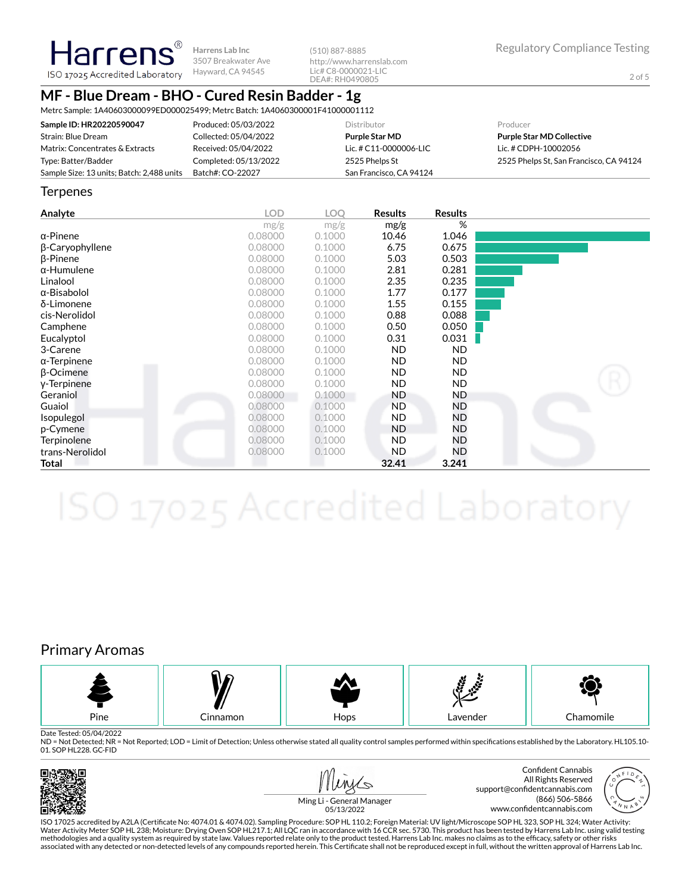**Harrens Lab Inc** 3507 Breakwater Ave ISO 17025 Accredited Laboratory Hayward, CA 94545

(510) 887-8885 http://www.harrenslab.com Lic# C8-0000021-LIC DEA#: RH0490805

# **MF - Blue Dream - BHO - Cured Resin Badder - 1g**

Metrc Sample: 1A40603000099ED000025499; Metrc Batch: 1A4060300001F41000001112

| Sample ID: HR20220590047                  | Produced: 05/03/2022  | <b>Distributor</b>      | Producer                                |
|-------------------------------------------|-----------------------|-------------------------|-----------------------------------------|
| Strain: Blue Dream                        | Collected: 05/04/2022 | <b>Purple Star MD</b>   | <b>Purple Star MD Collective</b>        |
| Matrix: Concentrates & Extracts           | Received: 05/04/2022  | Lic. # C11-0000006-LIC  | Lic. # CDPH-10002056                    |
| Type: Batter/Badder                       | Completed: 05/13/2022 | 2525 Phelps St          | 2525 Phelps St. San Francisco, CA 94124 |
| Sample Size: 13 units; Batch: 2,488 units | Batch#: CO-22027      | San Francisco, CA 94124 |                                         |

#### **Terpenes**

Harrens®

| Analyte             | <b>LOD</b> | <b>LOO</b> | <b>Results</b> | <b>Results</b> |  |
|---------------------|------------|------------|----------------|----------------|--|
|                     | mg/g       | mg/g       | mg/g           | %              |  |
| $\alpha$ -Pinene    | 0.08000    | 0.1000     | 10.46          | 1.046          |  |
| β-Caryophyllene     | 0.08000    | 0.1000     | 6.75           | 0.675          |  |
| $\beta$ -Pinene     | 0.08000    | 0.1000     | 5.03           | 0.503          |  |
| $\alpha$ -Humulene  | 0.08000    | 0.1000     | 2.81           | 0.281          |  |
| Linalool            | 0.08000    | 0.1000     | 2.35           | 0.235          |  |
| $\alpha$ -Bisabolol | 0.08000    | 0.1000     | 1.77           | 0.177          |  |
| δ-Limonene          | 0.08000    | 0.1000     | 1.55           | 0.155          |  |
| cis-Nerolidol       | 0.08000    | 0.1000     | 0.88           | 0.088          |  |
| Camphene            | 0.08000    | 0.1000     | 0.50           | 0.050          |  |
| Eucalyptol          | 0.08000    | 0.1000     | 0.31           | 0.031          |  |
| 3-Carene            | 0.08000    | 0.1000     | <b>ND</b>      | ND.            |  |
| $\alpha$ -Terpinene | 0.08000    | 0.1000     | <b>ND</b>      | ND.            |  |
| $\beta$ -Ocimene    | 0.08000    | 0.1000     | <b>ND</b>      | ND.            |  |
| y-Terpinene         | 0.08000    | 0.1000     | <b>ND</b>      | <b>ND</b>      |  |
| Geraniol            | 0.08000    | 0.1000     | <b>ND</b>      | ND.            |  |
| Guaiol              | 0.08000    | 0.1000     | <b>ND</b>      | ND             |  |
| <i>Isopulegol</i>   | 0.08000    | 0.1000     | <b>ND</b>      | ND             |  |
| p-Cymene            | 0.08000    | 0.1000     | <b>ND</b>      | ND             |  |
| Terpinolene         | 0.08000    | 0.1000     | ND.            | ND             |  |
| trans-Nerolidol     | 0.08000    | 0.1000     | ND.            | ND             |  |
| Total               |            |            | 32.41          | 3.241          |  |

## Primary Aromas



Date Tested: 05/04/2022

ND = Not Detected; NR = Not Reported; LOD = Limit of Detection; Unless otherwise stated all quality control samples performed within specifications established by the Laboratory. HL105.10-01. SOP HL228. GC-FID







Ming Li - General Manager 05/13/2022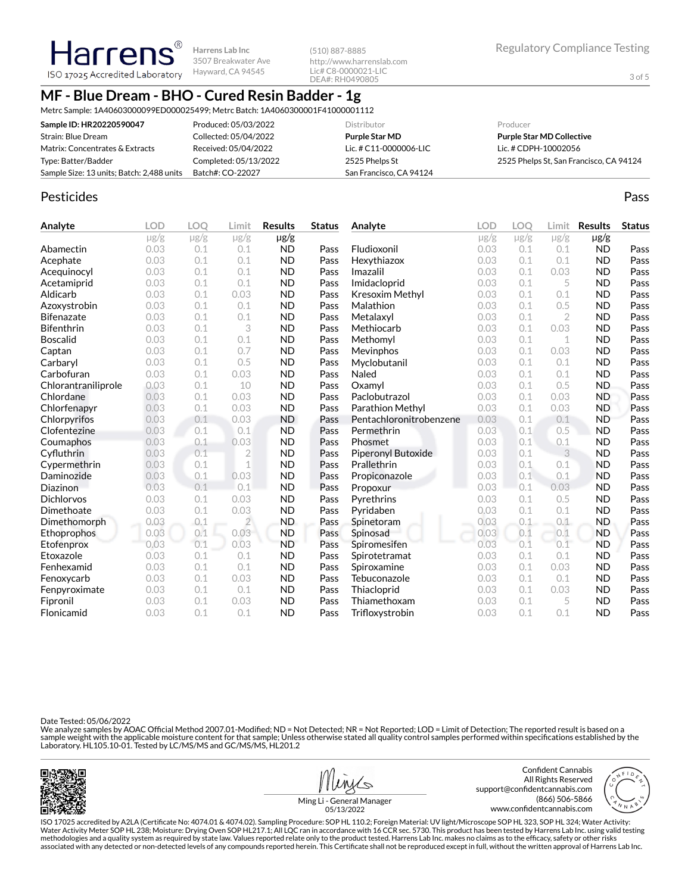Harrens ISO 17025 Accredited Laboratory

**Harrens Lab Inc** 3507 Breakwater Ave Hayward, CA 94545

(510) 887-8885 http://www.harrenslab.com Lic# C8-0000021-LIC DEA#: RH0490805

## **MF - Blue Dream - BHO - Cured Resin Badder - 1g**

Metrc Sample: 1A40603000099ED000025499; Metrc Batch: 1A4060300001F41000001112

| Sample ID: HR20220590047                  | Produced: 05/03/2022  | Distributor             | Producer                                |
|-------------------------------------------|-----------------------|-------------------------|-----------------------------------------|
| Strain: Blue Dream                        | Collected: 05/04/2022 | Purple Star MD          | <b>Purple Star MD Collective</b>        |
| Matrix: Concentrates & Extracts           | Received: 05/04/2022  | Lic. # C11-0000006-LIC  | Lic. # CDPH-10002056                    |
| Type: Batter/Badder                       | Completed: 05/13/2022 | 2525 Phelps St          | 2525 Phelps St, San Francisco, CA 94124 |
| Sample Size: 13 units; Batch: 2,488 units | Batch#: CO-22027      | San Francisco, CA 94124 |                                         |

### Pesticides **Passage Community Community Community** Passes and the extension of the extension of the extension of the extension of the extension of the extension of the extension of the extension of the extension of the ext

| Analyte             | <b>LOD</b> | <b>LOO</b> | Limit          | <b>Results</b> | <b>Status</b> | Analyte                 | <b>LOD</b> | LOQ       | Limit          | <b>Results</b> | <b>Status</b> |
|---------------------|------------|------------|----------------|----------------|---------------|-------------------------|------------|-----------|----------------|----------------|---------------|
|                     | $\mu$ g/g  | $\mu$ g/g  | $\mu$ g/g      | $\mu$ g/g      |               |                         | $\mu$ g/g  | $\mu$ g/g | $\mu$ g/g      | $\mu$ g/g      |               |
| Abamectin           | 0.03       | 0.1        | 0.1            | <b>ND</b>      | Pass          | Fludioxonil             | 0.03       | 0.1       | 0.1            | <b>ND</b>      | Pass          |
| Acephate            | 0.03       | 0.1        | 0.1            | <b>ND</b>      | Pass          | Hexythiazox             | 0.03       | 0.1       | 0.1            | <b>ND</b>      | Pass          |
| Acequinocyl         | 0.03       | 0.1        | 0.1            | <b>ND</b>      | Pass          | Imazalil                | 0.03       | 0.1       | 0.03           | <b>ND</b>      | Pass          |
| Acetamiprid         | 0.03       | 0.1        | 0.1            | <b>ND</b>      | Pass          | Imidacloprid            | 0.03       | 0.1       | 5              | <b>ND</b>      | Pass          |
| Aldicarb            | 0.03       | 0.1        | 0.03           | <b>ND</b>      | Pass          | Kresoxim Methyl         | 0.03       | 0.1       | 0.1            | <b>ND</b>      | Pass          |
| Azoxystrobin        | 0.03       | 0.1        | 0.1            | <b>ND</b>      | Pass          | Malathion               | 0.03       | 0.1       | 0.5            | <b>ND</b>      | Pass          |
| <b>Bifenazate</b>   | 0.03       | 0.1        | 0.1            | <b>ND</b>      | Pass          | Metalaxyl               | 0.03       | 0.1       | $\overline{2}$ | <b>ND</b>      | Pass          |
| <b>Bifenthrin</b>   | 0.03       | 0.1        | 3              | <b>ND</b>      | Pass          | Methiocarb              | 0.03       | 0.1       | 0.03           | <b>ND</b>      | Pass          |
| <b>Boscalid</b>     | 0.03       | 0.1        | 0.1            | <b>ND</b>      | Pass          | Methomyl                | 0.03       | 0.1       | 1              | <b>ND</b>      | Pass          |
| Captan              | 0.03       | 0.1        | 0.7            | <b>ND</b>      | Pass          | Mevinphos               | 0.03       | 0.1       | 0.03           | <b>ND</b>      | Pass          |
| Carbaryl            | 0.03       | 0.1        | 0.5            | <b>ND</b>      | Pass          | Myclobutanil            | 0.03       | 0.1       | 0.1            | <b>ND</b>      | Pass          |
| Carbofuran          | 0.03       | 0.1        | 0.03           | <b>ND</b>      | Pass          | Naled                   | 0.03       | 0.1       | 0.1            | <b>ND</b>      | Pass          |
| Chlorantraniliprole | 0.03       | 0.1        | 10             | <b>ND</b>      | Pass          | Oxamyl                  | 0.03       | 0.1       | 0.5            | <b>ND</b>      | Pass          |
| Chlordane           | 0.03       | 0.1        | 0.03           | <b>ND</b>      | Pass          | Paclobutrazol           | 0.03       | 0.1       | 0.03           | <b>ND</b>      | Pass          |
| Chlorfenapyr        | 0.03       | 0.1        | 0.03           | <b>ND</b>      | Pass          | Parathion Methyl        | 0.03       | 0.1       | 0.03           | <b>ND</b>      | Pass          |
| Chlorpyrifos        | 0.03       | 0.1        | 0.03           | <b>ND</b>      | Pass          | Pentachloronitrobenzene | 0.03       | 0.1       | 0.1            | <b>ND</b>      | Pass          |
| Clofentezine        | 0.03       | 0.1        | 0.1            | <b>ND</b>      | Pass          | Permethrin              | 0.03       | 0.1       | 0.5            | <b>ND</b>      | Pass          |
| Coumaphos           | 0.03       | 0.1        | 0.03           | <b>ND</b>      | Pass          | Phosmet                 | 0.03       | 0.1       | 0.1            | <b>ND</b>      | Pass          |
| Cyfluthrin          | 0.03       | 0.1        | $\overline{2}$ | <b>ND</b>      | Pass          | Piperonyl Butoxide      | 0.03       | 0.1       | 3              | <b>ND</b>      | Pass          |
| Cypermethrin        | 0.03       | 0.1        | $\mathbf 1$    | <b>ND</b>      | Pass          | Prallethrin             | 0.03       | 0.1       | 0.1            | <b>ND</b>      | Pass          |
| Daminozide          | 0.03       | 0.1        | 0.03           | <b>ND</b>      | Pass          | Propiconazole           | 0.03       | 0.1       | 0.1            | <b>ND</b>      | Pass          |
| Diazinon            | 0.03       | 0.1        | 0.1            | <b>ND</b>      | Pass          | Propoxur                | 0.03       | 0.1       | 0.03           | <b>ND</b>      | Pass          |
| <b>Dichlorvos</b>   | 0.03       | 0.1        | 0.03           | <b>ND</b>      | Pass          | Pyrethrins              | 0.03       | 0.1       | 0.5            | <b>ND</b>      | Pass          |
| Dimethoate          | 0.03       | 0.1        | 0.03           | <b>ND</b>      | Pass          | Pyridaben               | 0.03       | 0.1       | 0.1            | <b>ND</b>      | Pass          |
| Dimethomorph        | 0.03       | 0.1        | $\overline{2}$ | <b>ND</b>      | Pass          | Spinetoram              | 0.03       | 0.1       | 0.1            | <b>ND</b>      | Pass          |
| <b>Ethoprophos</b>  | 0.03       | 0.1        | 0.03           | <b>ND</b>      | Pass          | Spinosad                | 0.03       | 0.1       | 0.1            | <b>ND</b>      | Pass          |
| Etofenprox          | 0.03       | 0.1        | 0.03           | <b>ND</b>      | Pass          | Spiromesifen            | 0.03       | 0.1       | 0.1            | <b>ND</b>      | Pass          |
| Etoxazole           | 0.03       | 0.1        | 0.1            | <b>ND</b>      | Pass          | Spirotetramat           | 0.03       | 0.1       | 0.1            | <b>ND</b>      | Pass          |
| Fenhexamid          | 0.03       | 0.1        | 0.1            | <b>ND</b>      | Pass          | Spiroxamine             | 0.03       | 0.1       | 0.03           | <b>ND</b>      | Pass          |
| Fenoxycarb          | 0.03       | 0.1        | 0.03           | <b>ND</b>      | Pass          | Tebuconazole            | 0.03       | 0.1       | 0.1            | <b>ND</b>      | Pass          |
| Fenpyroximate       | 0.03       | 0.1        | 0.1            | <b>ND</b>      | Pass          | Thiacloprid             | 0.03       | 0.1       | 0.03           | <b>ND</b>      | Pass          |
| Fipronil            | 0.03       | 0.1        | 0.03           | <b>ND</b>      | Pass          | Thiamethoxam            | 0.03       | 0.1       | 5              | <b>ND</b>      | Pass          |
| Flonicamid          | 0.03       | 0.1        | 0.1            | <b>ND</b>      | Pass          | Trifloxystrobin         | 0.03       | 0.1       | 0.1            | <b>ND</b>      | Pass          |

Date Tested: 05/06/2022

We analyze samples by AOAC Official Method 2007.01-Modified; ND = Not Detected; NR = Not Reported; LOD = Limit of Detection; The reported result is based on a sample weight with the applicable moisture content for that sample; Unless otherwise stated all quality control samples performed within specifications established by the<br>Laboratory. HL105.10-01. Tested by LC/MS/MS and GC/





Ming Li - General Manager 05/13/2022

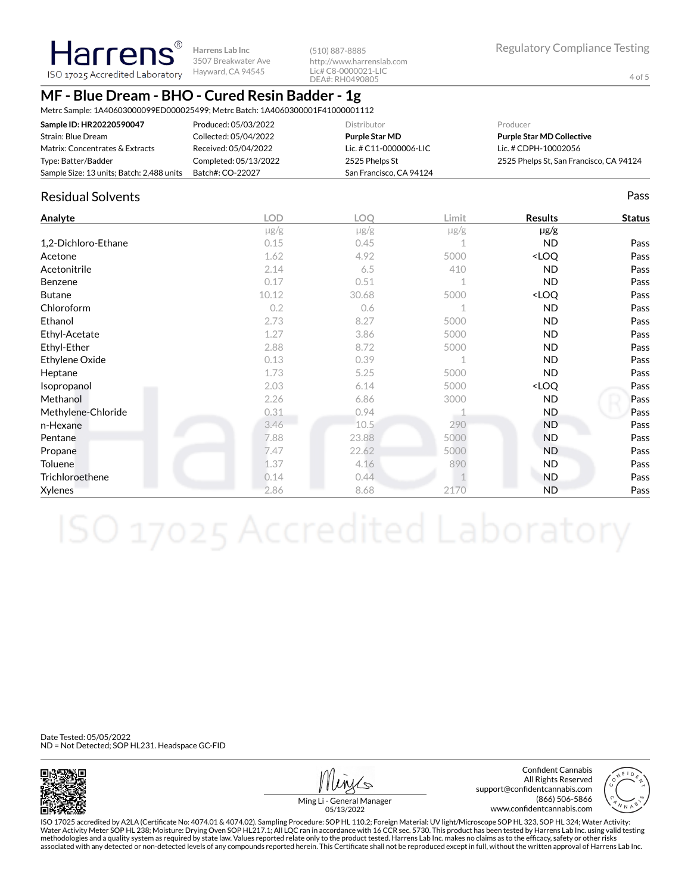**Harrens Lab Inc** 3507 Breakwater Ave Hayward, CA 94545

(510) 887-8885 http://www.harrenslab.com Lic# C8-0000021-LIC DEA#: RH0490805

## **MF - Blue Dream - BHO - Cured Resin Badder - 1g**

Metrc Sample: 1A40603000099ED000025499; Metrc Batch: 1A4060300001F41000001112

| Sample ID: HR20220590047                  | Produced: 05/03/2022  | Distributor             | Producer                                |
|-------------------------------------------|-----------------------|-------------------------|-----------------------------------------|
| Strain: Blue Dream                        | Collected: 05/04/2022 | Purple Star MD          | <b>Purple Star MD Collective</b>        |
| Matrix: Concentrates & Extracts           | Received: 05/04/2022  | Lic. # C11-0000006-LIC  | Lic. # CDPH-10002056                    |
| Type: Batter/Badder                       | Completed: 05/13/2022 | 2525 Phelps St          | 2525 Phelps St, San Francisco, CA 94124 |
| Sample Size: 13 units; Batch: 2,488 units | Batch#: CO-22027      | San Francisco, CA 94124 |                                         |

### Residual Solvents Pass

**Harrens** ISO 17025 Accredited Laboratory

| Analyte             | <b>LOD</b> | <b>LOQ</b> | Limit     | <b>Results</b>                   | <b>Status</b> |
|---------------------|------------|------------|-----------|----------------------------------|---------------|
|                     | $\mu$ g/g  | $\mu$ g/g  | $\mu$ g/g | $\mu$ g/g                        |               |
| 1,2-Dichloro-Ethane | 0.15       | 0.45       |           | <b>ND</b>                        | Pass          |
| Acetone             | 1.62       | 4.92       | 5000      | <loq< td=""><td>Pass</td></loq<> | Pass          |
| Acetonitrile        | 2.14       | 6.5        | 410       | <b>ND</b>                        | Pass          |
| Benzene             | 0.17       | 0.51       | 1         | <b>ND</b>                        | Pass          |
| <b>Butane</b>       | 10.12      | 30.68      | 5000      | <loq< td=""><td>Pass</td></loq<> | Pass          |
| Chloroform          | 0.2        | 0.6        |           | <b>ND</b>                        | Pass          |
| Ethanol             | 2.73       | 8.27       | 5000      | ND.                              | Pass          |
| Ethyl-Acetate       | 1.27       | 3.86       | 5000      | <b>ND</b>                        | Pass          |
| Ethyl-Ether         | 2.88       | 8.72       | 5000      | <b>ND</b>                        | Pass          |
| Ethylene Oxide      | 0.13       | 0.39       | 1         | ND.                              | Pass          |
| Heptane             | 1.73       | 5.25       | 5000      | <b>ND</b>                        | Pass          |
| Isopropanol         | 2.03       | 6.14       | 5000      | <loq< td=""><td>Pass</td></loq<> | Pass          |
| Methanol            | 2.26       | 6.86       | 3000      | ND.                              | Pass          |
| Methylene-Chloride  | 0.31       | 0.94       |           | ND.                              | Pass          |
| n-Hexane            | 3.46       | 10.5       | 290       | <b>ND</b>                        | Pass          |
| Pentane             | 7.88       | 23.88      | 5000      | <b>ND</b>                        | Pass          |
| Propane             | 7.47       | 22.62      | 5000      | <b>ND</b>                        | Pass          |
| Toluene             | 1.37       | 4.16       | 890       | ND.                              | Pass          |
| Trichloroethene     | 0.14       | 0.44       |           | <b>ND</b>                        | Pass          |
| Xylenes             | 2.86       | 8.68       | 2170      | <b>ND</b>                        | Pass          |

Date Tested: 05/05/2022 ND = Not Detected; SOP HL231. Headspace GC-FID



Confident Cannabis All Rights Reserved support@confidentcannabis.com (866) 506-5866 www.confidentcannabis.com



Ming Li - General Manager 05/13/2022